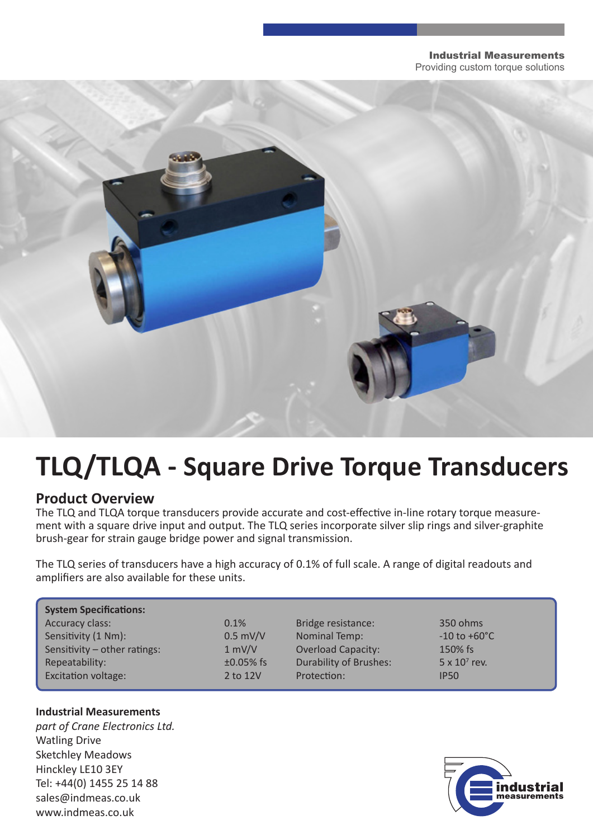#### Industrial Measurements Providing custom torque solutions



# **TLQ/TLQA - Square Drive Torque Transducers**

### **Product Overview**

The TLQ and TLQA torque transducers provide accurate and cost-effective in-line rotary torque measurement with a square drive input and output. The TLQ series incorporate silver slip rings and silver-graphite brush-gear for strain gauge bridge power and signal transmission.

The TLQ series of transducers have a high accuracy of 0.1% of full scale. A range of digital readouts and amplifiers are also available for these units.

| <b>System Specifications:</b>  |             |                               |                          |
|--------------------------------|-------------|-------------------------------|--------------------------|
| Accuracy class:                | 0.1%        | Bridge resistance:            | 350 ohms                 |
| Sensitivity (1 Nm):            | $0.5$ mV/V  | <b>Nominal Temp:</b>          | $-10$ to $+60^{\circ}$ C |
| Sensitivity $-$ other ratings: | 1 mV/V      | <b>Overload Capacity:</b>     | 150% fs                  |
| Repeatability:                 | $±0.05%$ fs | <b>Durability of Brushes:</b> | $5 \times 10^7$ rev.     |
| <b>Excitation voltage:</b>     | 2 to 12V    | Protection:                   | <b>IP50</b>              |

#### **Industrial Measurements**

*part of Crane Electronics Ltd.* Watling Drive Sketchley Meadows Hinckley LE10 3EY Tel: +44(0) 1455 25 14 88 sales@indmeas.co.uk www.indmeas.co.uk

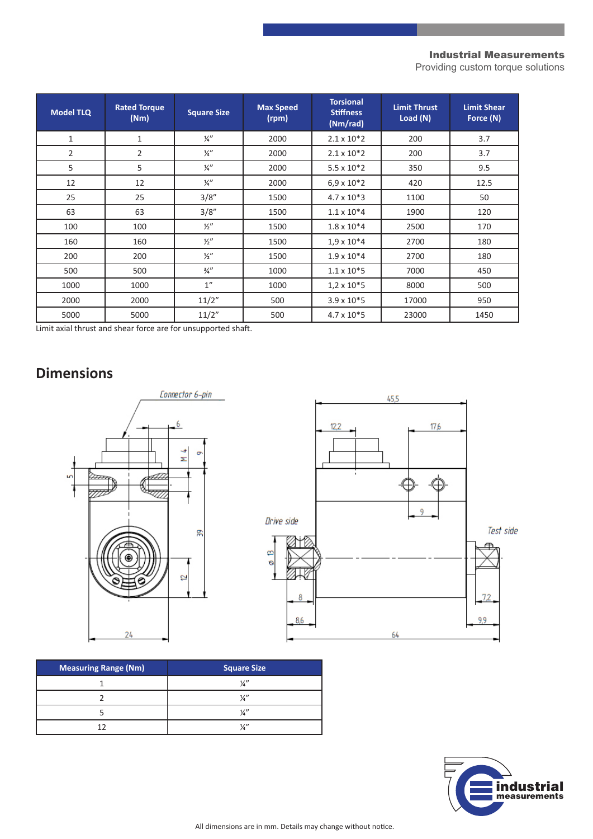#### Industrial Measurements

Providing custom torque solutions

| <b>Model TLQ</b> | <b>Rated Torque</b><br>(Nm) | <b>Square Size</b> | <b>Max Speed</b><br>(rpm) | <b>Torsional</b><br><b>Stiffness</b><br>(Nm/rad) | <b>Limit Thrust</b><br>Load (N) | <b>Limit Shear</b><br>Force (N) |
|------------------|-----------------------------|--------------------|---------------------------|--------------------------------------------------|---------------------------------|---------------------------------|
| $\mathbf{1}$     | $\mathbf{1}$                | $\frac{1}{4}$      | 2000                      | $2.1 \times 10^{*}2$                             | 200                             | 3.7                             |
| $\overline{2}$   | $\overline{2}$              | $\frac{1}{4}$      | 2000                      | $2.1 \times 10^{*}2$                             | 200                             | 3.7                             |
| 5                | 5                           | $\frac{1}{4}$      | 2000                      | $5.5 \times 10*2$                                | 350                             | 9.5                             |
| 12               | 12                          | $\frac{1}{4}$      | 2000                      | $6.9 \times 10^{*}2$                             | 420                             | 12.5                            |
| 25               | 25                          | 3/8''              | 1500                      | $4.7 \times 10*3$                                | 1100                            | 50                              |
| 63               | 63                          | 3/8"               | 1500                      | $1.1 \times 10*4$                                | 1900                            | 120                             |
| 100              | 100                         | $\frac{1}{2}$      | 1500                      | $1.8 \times 10*4$                                | 2500                            | 170                             |
| 160              | 160                         | $\frac{1}{2}$      | 1500                      | $1.9 \times 10*4$                                | 2700                            | 180                             |
| 200              | 200                         | $\frac{1}{2}$      | 1500                      | $1.9 \times 10*4$                                | 2700                            | 180                             |
| 500              | 500                         | $\frac{3}{4}$ "    | 1000                      | $1.1 \times 10*5$                                | 7000                            | 450                             |
| 1000             | 1000                        | 1"                 | 1000                      | $1,2 \times 10*5$                                | 8000                            | 500                             |
| 2000             | 2000                        | 11/2"              | 500                       | $3.9 \times 10*5$                                | 17000                           | 950                             |
| 5000             | 5000                        | 11/2"              | 500                       | $4.7 \times 10*5$                                | 23000                           | 1450                            |

Limit axial thrust and shear force are for unsupported shaft.

## **Dimensions**





| <b>Measuring Range (Nm)</b> | Square Size   |
|-----------------------------|---------------|
|                             | $\frac{1}{a}$ |
|                             | $\frac{1}{2}$ |
|                             | $\frac{1}{2}$ |
|                             | 1/2           |

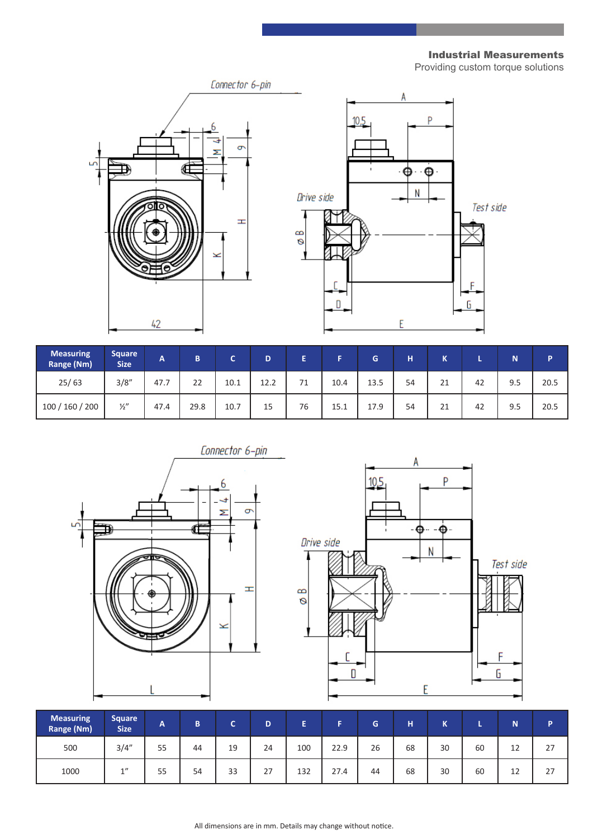Industrial Measurements

Providing custom torque solutions

Test side

F

G

 $\overline{P}$ 



| <b>Measuring</b><br>Range (Nm) | <b>Square</b><br><b>Size</b> | A    | B    | $\overline{\phantom{a}}$ | D    | Œ. |      | G    | н  | K  |    | N   | Þ    |
|--------------------------------|------------------------------|------|------|--------------------------|------|----|------|------|----|----|----|-----|------|
| 25/63                          | 3/8''                        | 47.7 | 22   | 10.1                     | 12.2 | 71 | 10.4 | 13.5 | 54 | 21 | 42 | 9.5 | 20.5 |
| 100 / 160 / 200                | $\frac{1}{2}$                | 47.4 | 29.8 | 10.7                     | 15   | 76 | 15.1 | 17.9 | 54 | 21 | 42 | 9.5 | 20.5 |





| <b>Measuring</b><br>Range (Nm) | <b>Square</b><br><b>Size</b> | A  | B  | $\sqrt{2}$ | D  | п   | -    | G  | н  | $\overline{1}$<br>™ |    | N  | D  |
|--------------------------------|------------------------------|----|----|------------|----|-----|------|----|----|---------------------|----|----|----|
| 500                            | 3/4''                        | 55 | 44 | 19         | 24 | 100 | 22.9 | 26 | 68 | 30                  | 60 | 12 | 27 |
| 1000                           | 1"                           | 55 | 54 | 33         | 27 | 132 | 27.4 | 44 | 68 | 30                  | 60 | 12 | 27 |